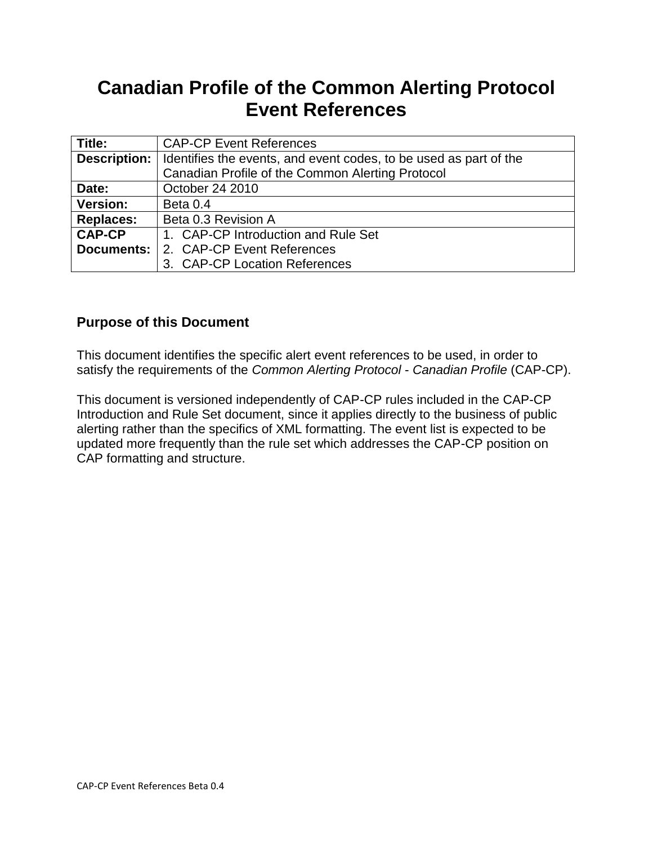# **Canadian Profile of the Common Alerting Protocol Event References**

| Title:            | <b>CAP-CP Event References</b>                                    |
|-------------------|-------------------------------------------------------------------|
| Description:      | Identifies the events, and event codes, to be used as part of the |
|                   | Canadian Profile of the Common Alerting Protocol                  |
| Date:             | October 24 2010                                                   |
| <b>Version:</b>   | Beta 0.4                                                          |
| <b>Replaces:</b>  | Beta 0.3 Revision A                                               |
| <b>CAP-CP</b>     | 1. CAP-CP Introduction and Rule Set                               |
| <b>Documents:</b> | 2. CAP-CP Event References                                        |
|                   | 3. CAP-CP Location References                                     |

# **Purpose of this Document**

This document identifies the specific alert event references to be used, in order to satisfy the requirements of the *Common Alerting Protocol* - *Canadian Profile* (CAP-CP).

This document is versioned independently of CAP-CP rules included in the CAP-CP Introduction and Rule Set document, since it applies directly to the business of public alerting rather than the specifics of XML formatting. The event list is expected to be updated more frequently than the rule set which addresses the CAP-CP position on CAP formatting and structure.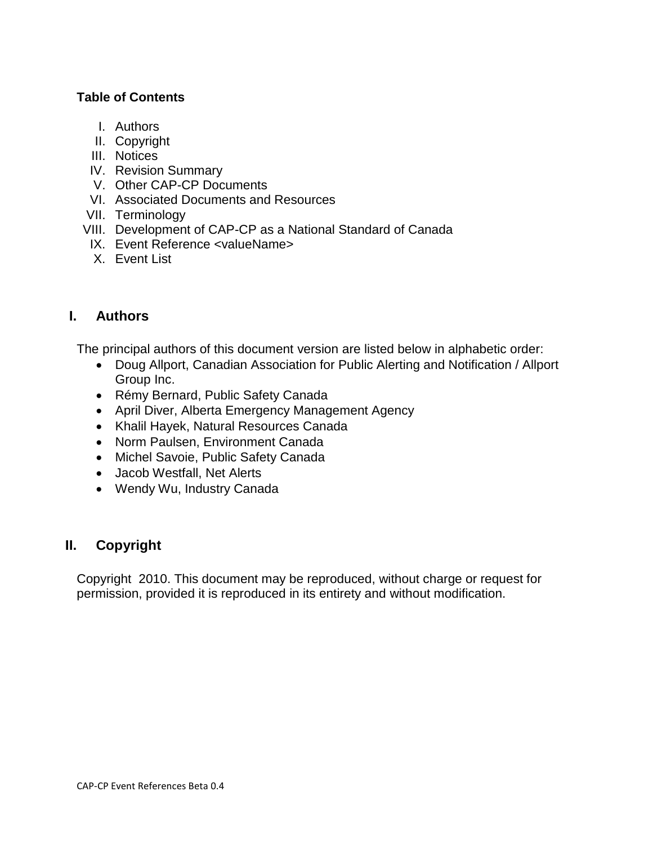#### **Table of Contents**

- I. Authors
- II. Copyright
- III. Notices
- IV. Revision Summary
- V. Other CAP-CP Documents
- VI. Associated Documents and Resources
- VII. Terminology
- VIII. Development of CAP-CP as a National Standard of Canada
- IX. Event Reference <valueName>
- X. Event List

# **I. Authors**

The principal authors of this document version are listed below in alphabetic order:

- Doug Allport, Canadian Association for Public Alerting and Notification / Allport Group Inc.
- Rémy Bernard, Public Safety Canada
- April Diver, Alberta Emergency Management Agency
- Khalil Hayek, Natural Resources Canada
- Norm Paulsen, Environment Canada
- Michel Savoie, Public Safety Canada
- Jacob Westfall, Net Alerts
- Wendy Wu, Industry Canada

# **II. Copyright**

Copyright 2010. This document may be reproduced, without charge or request for permission, provided it is reproduced in its entirety and without modification.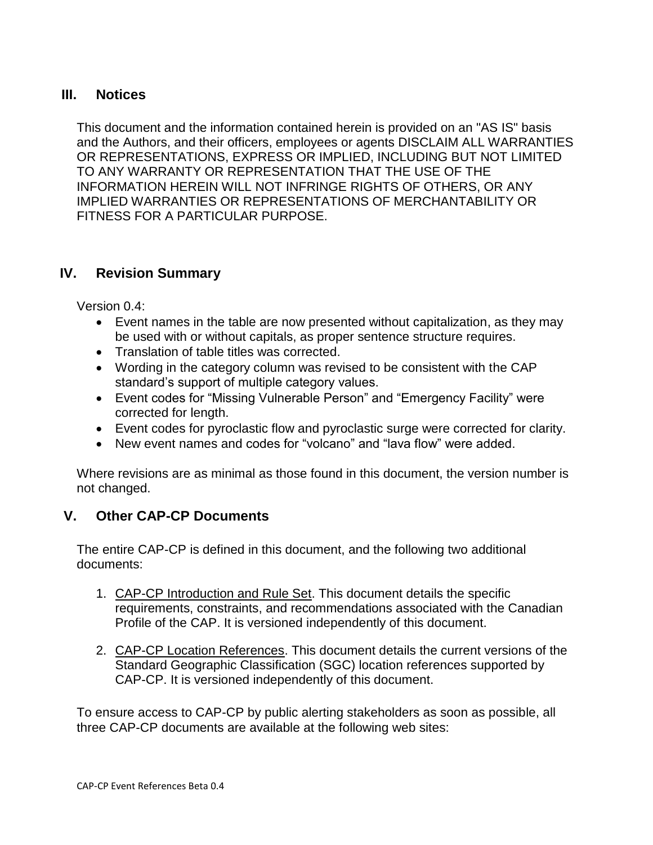#### **III. Notices**

This document and the information contained herein is provided on an "AS IS" basis and the Authors, and their officers, employees or agents DISCLAIM ALL WARRANTIES OR REPRESENTATIONS, EXPRESS OR IMPLIED, INCLUDING BUT NOT LIMITED TO ANY WARRANTY OR REPRESENTATION THAT THE USE OF THE INFORMATION HEREIN WILL NOT INFRINGE RIGHTS OF OTHERS, OR ANY IMPLIED WARRANTIES OR REPRESENTATIONS OF MERCHANTABILITY OR FITNESS FOR A PARTICULAR PURPOSE.

#### **IV. Revision Summary**

Version 0.4:

- Event names in the table are now presented without capitalization, as they may be used with or without capitals, as proper sentence structure requires.
- Translation of table titles was corrected.
- Wording in the category column was revised to be consistent with the CAP standard's support of multiple category values.
- Event codes for "Missing Vulnerable Person" and "Emergency Facility" were corrected for length.
- Event codes for pyroclastic flow and pyroclastic surge were corrected for clarity.
- New event names and codes for "volcano" and "lava flow" were added.

Where revisions are as minimal as those found in this document, the version number is not changed.

# **V. Other CAP-CP Documents**

The entire CAP-CP is defined in this document, and the following two additional documents:

- 1. CAP-CP Introduction and Rule Set. This document details the specific requirements, constraints, and recommendations associated with the Canadian Profile of the CAP. It is versioned independently of this document.
- 2. CAP-CP Location References. This document details the current versions of the Standard Geographic Classification (SGC) location references supported by CAP-CP. It is versioned independently of this document.

To ensure access to CAP-CP by public alerting stakeholders as soon as possible, all three CAP-CP documents are available at the following web sites: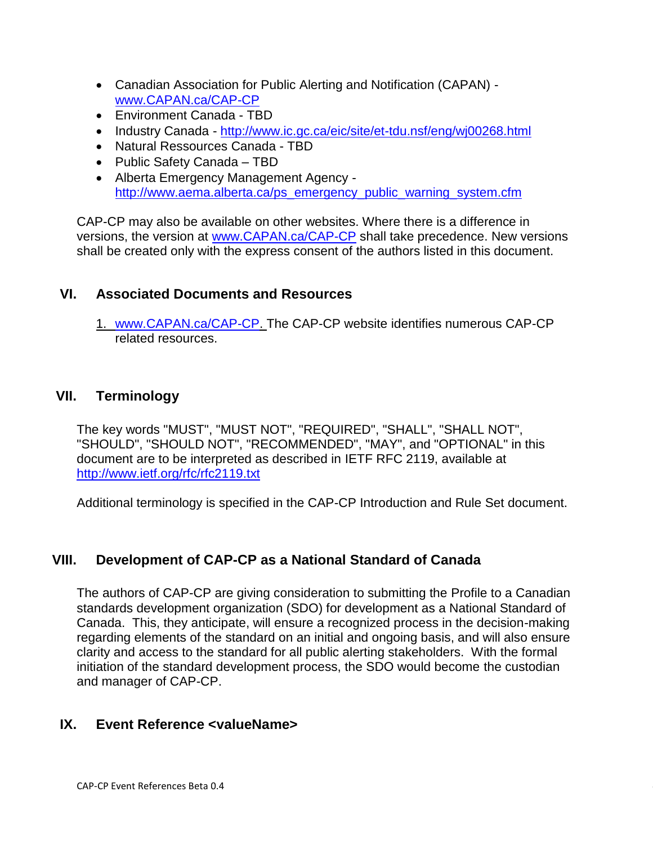- Canadian Association for Public Alerting and Notification (CAPAN) [www.CAPAN.ca/CAP-CP](http://www.capan.ca/CAP-CP)
- Environment Canada TBD
- Industry Canada <http://www.ic.gc.ca/eic/site/et-tdu.nsf/eng/wj00268.html>
- Natural Ressources Canada TBD
- Public Safety Canada TBD
- Alberta Emergency Management Agency [http://www.aema.alberta.ca/ps\\_emergency\\_public\\_warning\\_system.cfm](http://www.aema.alberta.ca/ps_emergency_public_warning_system.cfm)

CAP-CP may also be available on other websites. Where there is a difference in versions, the version at [www.CAPAN.ca/CAP-CP](http://www.capan.ca/CAP-CP) shall take precedence. New versions shall be created only with the express consent of the authors listed in this document.

# **VI. Associated Documents and Resources**

1. [www.CAPAN.ca/CAP-CP.](http://www.capan.ca/CAP-CP) The CAP-CP website identifies numerous CAP-CP related resources.

# **VII. Terminology**

The key words "MUST", "MUST NOT", "REQUIRED", "SHALL", "SHALL NOT", "SHOULD", "SHOULD NOT", "RECOMMENDED", "MAY", and "OPTIONAL" in this document are to be interpreted as described in IETF RFC 2119, available at <http://www.ietf.org/rfc/rfc2119.txt>

Additional terminology is specified in the CAP-CP Introduction and Rule Set document.

# **VIII. Development of CAP-CP as a National Standard of Canada**

The authors of CAP-CP are giving consideration to submitting the Profile to a Canadian standards development organization (SDO) for development as a National Standard of Canada. This, they anticipate, will ensure a recognized process in the decision-making regarding elements of the standard on an initial and ongoing basis, and will also ensure clarity and access to the standard for all public alerting stakeholders. With the formal initiation of the standard development process, the SDO would become the custodian and manager of CAP-CP.

# **IX. Event Reference <valueName>**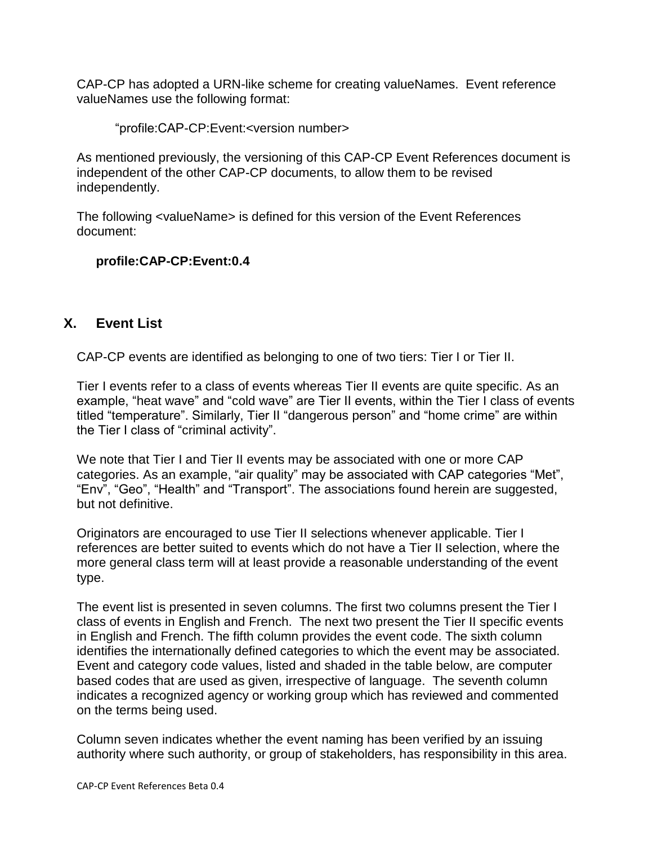CAP-CP has adopted a URN-like scheme for creating valueNames. Event reference valueNames use the following format:

"profile:CAP-CP:Event:<version number>

As mentioned previously, the versioning of this CAP-CP Event References document is independent of the other CAP-CP documents, to allow them to be revised independently.

The following <valueName> is defined for this version of the Event References document:

#### **profile:CAP-CP:Event:0.4**

#### **X. Event List**

CAP-CP events are identified as belonging to one of two tiers: Tier I or Tier II.

Tier I events refer to a class of events whereas Tier II events are quite specific. As an example, "heat wave" and "cold wave" are Tier II events, within the Tier I class of events titled "temperature". Similarly, Tier II "dangerous person" and "home crime" are within the Tier I class of "criminal activity".

We note that Tier I and Tier II events may be associated with one or more CAP categories. As an example, "air quality" may be associated with CAP categories "Met", "Env", "Geo", "Health" and "Transport". The associations found herein are suggested, but not definitive.

Originators are encouraged to use Tier II selections whenever applicable. Tier I references are better suited to events which do not have a Tier II selection, where the more general class term will at least provide a reasonable understanding of the event type.

The event list is presented in seven columns. The first two columns present the Tier I class of events in English and French. The next two present the Tier II specific events in English and French. The fifth column provides the event code. The sixth column identifies the internationally defined categories to which the event may be associated. Event and category code values, listed and shaded in the table below, are computer based codes that are used as given, irrespective of language. The seventh column indicates a recognized agency or working group which has reviewed and commented on the terms being used.

Column seven indicates whether the event naming has been verified by an issuing authority where such authority, or group of stakeholders, has responsibility in this area.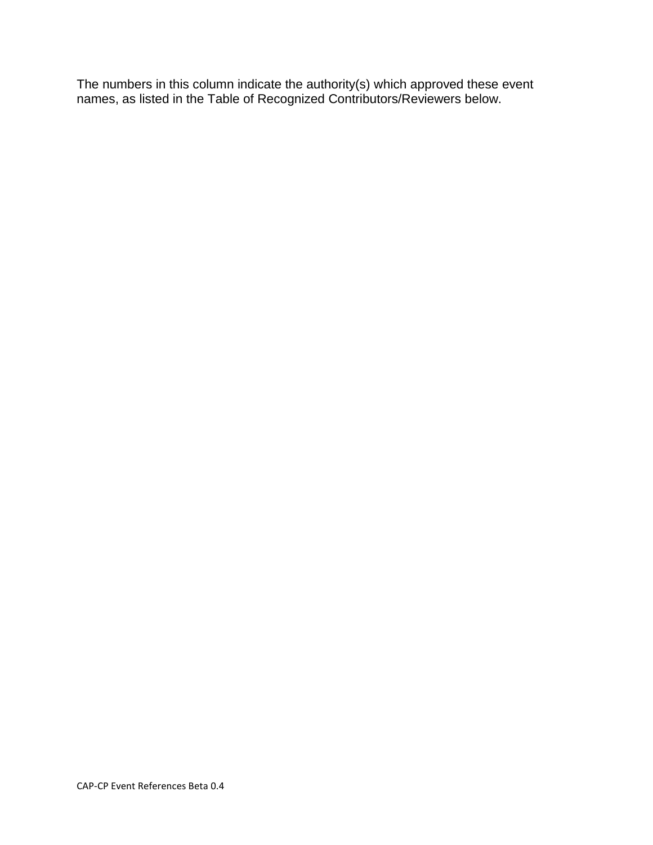The numbers in this column indicate the authority(s) which approved these event names, as listed in the Table of Recognized Contributors/Reviewers below.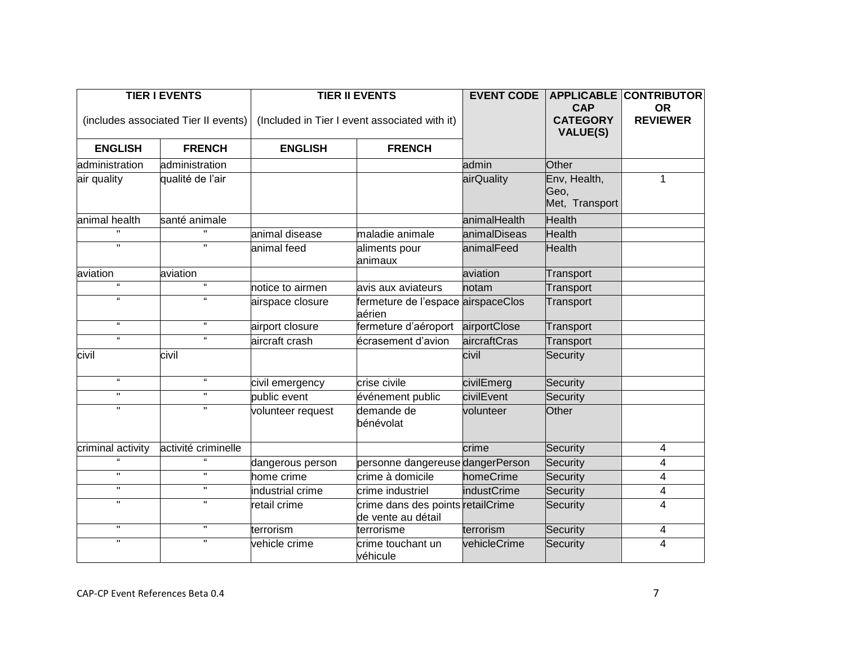| <b>TIER I EVENTS</b> |                                      | <b>TIER II EVENTS</b> |                                                         | <b>EVENT CODE</b>  | <b>CAP</b>                             | <b>APPLICABLE CONTRIBUTOR</b><br><b>OR</b> |
|----------------------|--------------------------------------|-----------------------|---------------------------------------------------------|--------------------|----------------------------------------|--------------------------------------------|
|                      | (includes associated Tier II events) |                       | (Included in Tier I event associated with it)           |                    | <b>CATEGORY</b><br><b>VALUE(S)</b>     | <b>REVIEWER</b>                            |
| <b>ENGLISH</b>       | <b>FRENCH</b>                        | <b>ENGLISH</b>        | <b>FRENCH</b>                                           |                    |                                        |                                            |
| administration       | administration                       |                       |                                                         | admin              | Other                                  |                                            |
| air quality          | qualité de l'air                     |                       |                                                         | airQuality         | Env, Health,<br>Geo,<br>Met, Transport | $\mathbf{1}$                               |
| animal health        | santé animale                        |                       |                                                         | animalHealth       | <b>Health</b>                          |                                            |
|                      |                                      | animal disease        | maladie animale                                         | animalDiseas       | <b>Health</b>                          |                                            |
| $\mathbf{H}$         | $\mathbf{H}$                         | animal feed           | aliments pour<br>animaux                                | animalFeed         | <b>Health</b>                          |                                            |
| aviation             | aviation                             |                       |                                                         | aviation           | Transport                              |                                            |
| <b>H</b>             | $\mathbf{g}$                         | notice to airmen      | avis aux aviateurs                                      | notam              | Transport                              |                                            |
| $\alpha$             | $\alpha$                             | airspace closure      | fermeture de l'espace airspaceClos<br>aérien            |                    | Transport                              |                                            |
| $\mathbf{g}$         | $\epsilon$                           | airport closure       | fermeture d'aéroport                                    | airportClose       | Transport                              |                                            |
| $\epsilon\epsilon$   | $\epsilon$                           | aircraft crash        | écrasement d'avion                                      | aircraftCras       | Transport                              |                                            |
| civil                | civil                                |                       |                                                         | civil              | Security                               |                                            |
| $\mathbf{g}$         | $\alpha$                             | civil emergency       | crise civile                                            | civilEmerg         | Security                               |                                            |
| $\pmb{\mathsf{H}}$   | $\mathbf{H}$                         | public event          | événement public                                        | civilEvent         | Security                               |                                            |
| $\mathbf{H}$         | $\mathbf H$                          | volunteer request     | demande de<br>bénévolat                                 | volunteer          | Other                                  |                                            |
| criminal activity    | activité criminelle                  |                       |                                                         | crime              | Security                               | 4                                          |
|                      | $\mathbf{u}$                         | dangerous person      | personne dangereuse dangerPerson                        |                    | Security                               | 4                                          |
| $\mathbf{H}$         | $\mathbf{H}$                         | home crime            | crime à domicile                                        | homeCrime          | Security                               | 4                                          |
| $\mathbf H$          | $\mathbf H$                          | industrial crime      | crime industriel                                        | <b>industCrime</b> | Security                               | 4                                          |
| $\mathbf{H}$         | $\mathbf{H}$                         | retail crime          | crime dans des points retailCrime<br>de vente au détail |                    | Security                               | 4                                          |
| $\pmb{\mathsf{H}}$   | $\mathbf H$                          | terrorism             | terrorisme                                              | terrorism          | Security                               | 4                                          |
| $\pmb{\mathsf{H}}$   | $\mathbf{H}$                         | vehicle crime         | crime touchant un<br>véhicule                           | vehicleCrime       | Security                               | 4                                          |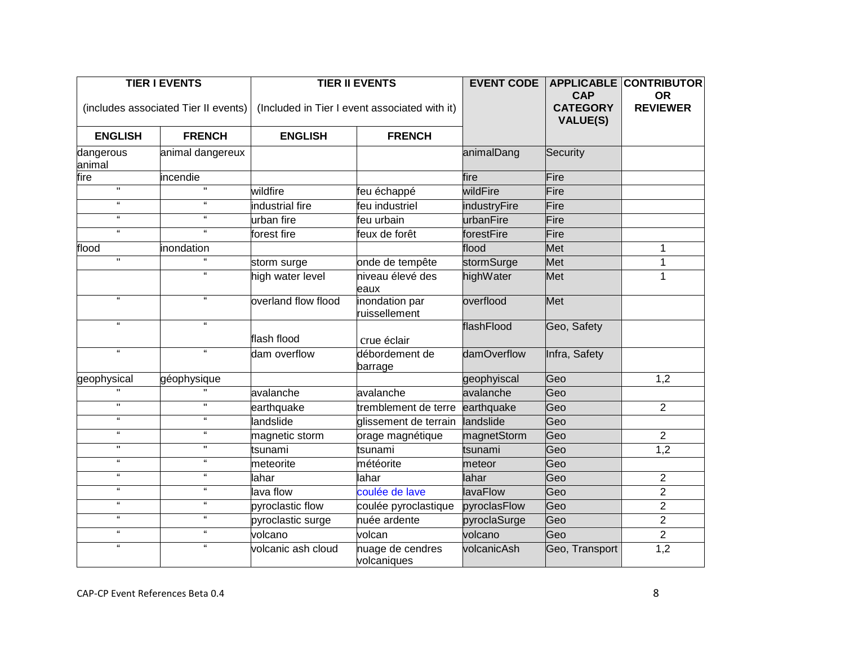| <b>TIER I EVENTS</b>       |                                      |                     | <b>TIER II EVENTS</b>                         |                 | <b>CAP</b>                         | <b>APPLICABLE CONTRIBUTOR</b><br><b>OR</b> |
|----------------------------|--------------------------------------|---------------------|-----------------------------------------------|-----------------|------------------------------------|--------------------------------------------|
|                            | (includes associated Tier II events) |                     | (Included in Tier I event associated with it) |                 | <b>CATEGORY</b><br><b>VALUE(S)</b> | <b>REVIEWER</b>                            |
| <b>ENGLISH</b>             | <b>FRENCH</b>                        | <b>ENGLISH</b>      | <b>FRENCH</b>                                 |                 |                                    |                                            |
| dangerous<br>animal        | animal dangereux                     |                     |                                               | animalDang      | Security                           |                                            |
| fire                       | incendie                             |                     |                                               | fire            | Fire                               |                                            |
| $\overline{\mathbf{u}}$    | π                                    | wildfire            | feu échappé                                   | wildFire        | Fire                               |                                            |
| $\alpha$                   | $\pmb{\mathfrak{c}}$                 | industrial fire     | feu industriel                                | industryFire    | Fire                               |                                            |
| $\mathbf{u}$               | $\mathbf{u}$                         | urban fire          | feu urbain                                    | urbanFire       | Fire                               |                                            |
| $\epsilon$                 | $\epsilon$                           | forest fire         | feux de forêt                                 | forestFire      | Fire                               |                                            |
| flood                      | inondation                           |                     |                                               | flood           | Met                                | 1                                          |
| $\mathbf H$                | $\epsilon$                           | storm surge         | onde de tempête                               | stormSurge      | Met                                | 1                                          |
|                            | $\alpha$                             | high water level    | niveau élevé des<br>eaux                      | highWater       | Met                                | $\mathbf{1}$                               |
| $\epsilon\epsilon$         | $\mathbf{u}$                         | overland flow flood | inondation par<br>ruissellement               | overflood       | Met                                |                                            |
| $\epsilon\epsilon$         | $\mathbf{g}$                         | flash flood         | crue éclair                                   | flashFlood      | Geo, Safety                        |                                            |
| $\alpha$                   | $\alpha$                             | dam overflow        | débordement de<br>barrage                     | damOverflow     | Infra, Safety                      |                                            |
| geophysical                | géophysique                          |                     |                                               | geophyiscal     | Geo                                | 1,2                                        |
| $\mathbf{u}$               |                                      | avalanche           | avalanche                                     | avalanche       | Geo                                |                                            |
| $\mathbf H$                | $\mathbf H$                          | earthquake          | tremblement de terre                          | earthquake      | Geo                                | $\overline{2}$                             |
| $\mathbf{g}$               | $\mathbf{g}$                         | landslide           | glissement de terrain                         | landslide       | Geo                                |                                            |
| $\epsilon\epsilon$         | $\mathfrak{c}\mathfrak{c}$           | magnetic storm      | orage magnétique                              | magnetStorm     | Geo                                | $\overline{2}$                             |
| $\mathbf H$                | п.                                   | tsunami             | tsunami                                       | tsunami         | Geo                                | $\overline{1,2}$                           |
| $\epsilon\epsilon$         | $\pmb{\mathfrak{c}}$                 | meteorite           | météorite                                     | meteor          | Geo                                |                                            |
| $\alpha$                   | $\alpha$                             | lahar               | lahar                                         | lahar           | Geo                                | $\overline{2}$                             |
| $\epsilon\epsilon$         | $\mathbf{u}$                         | lava flow           | coulée de lave                                | <b>lavaFlow</b> | Geo                                | $\overline{2}$                             |
| $\epsilon\epsilon$         | $\epsilon$                           | pyroclastic flow    | coulée pyroclastique                          | pyroclasFlow    | Geo                                | $\overline{2}$                             |
| $\mathfrak{c}\mathfrak{c}$ | $\pmb{\mathfrak{c}}$                 | pyroclastic surge   | nuée ardente                                  | pyroclaSurge    | Geo                                | $\overline{2}$                             |
| $\epsilon\epsilon$         | $\boldsymbol{\mathfrak{a}}$          | volcano             | volcan                                        | volcano         | Geo                                | $\overline{2}$                             |
| $\mathbf{g}$               | $\mathbf{g}$                         | volcanic ash cloud  | nuage de cendres<br>volcaniques               | volcanicAsh     | Geo, Transport                     | 1,2                                        |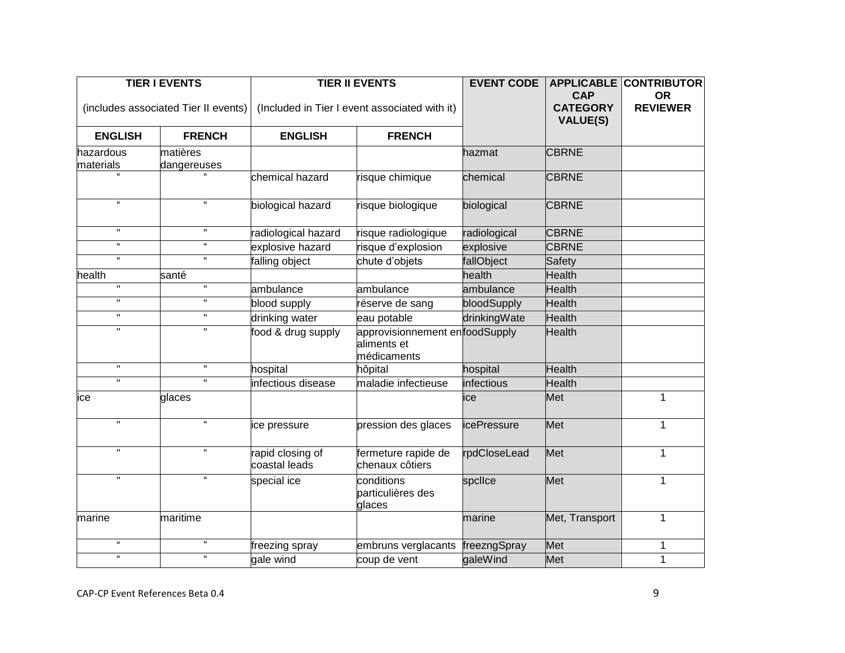| <b>TIER I EVENTS</b>                 |                             | <b>TIER II EVENTS</b>                         |                                                              | <b>EVENT CODE</b>  | <b>CAP</b>                         | <b>APPLICABLE CONTRIBUTOR</b><br><b>OR</b> |
|--------------------------------------|-----------------------------|-----------------------------------------------|--------------------------------------------------------------|--------------------|------------------------------------|--------------------------------------------|
| (includes associated Tier II events) |                             | (Included in Tier I event associated with it) |                                                              |                    | <b>CATEGORY</b><br><b>VALUE(S)</b> | <b>REVIEWER</b>                            |
| <b>ENGLISH</b>                       | <b>FRENCH</b>               | <b>ENGLISH</b>                                | <b>FRENCH</b>                                                |                    |                                    |                                            |
| hazardous                            | matières                    |                                               |                                                              | hazmat             | <b>CBRNE</b>                       |                                            |
| materials                            | dangereuses                 |                                               |                                                              |                    |                                    |                                            |
|                                      |                             | chemical hazard                               | risque chimique                                              | chemical           | <b>CBRNE</b>                       |                                            |
| $\alpha$                             | $\mathbf{u}$                | biological hazard                             | risque biologique                                            | biological         | <b>CBRNE</b>                       |                                            |
| $\mathbf H$                          | Π.                          | radiological hazard                           | risque radiologique                                          | radiological       | <b>CBRNE</b>                       |                                            |
| $\mathbf{g}$                         | $\mathfrak{c}\mathfrak{c}$  | explosive hazard                              | risque d'explosion                                           | explosive          | <b>CBRNE</b>                       |                                            |
| $\alpha$                             | $\alpha$                    | falling object                                | chute d'objets                                               | fallObject         | Safety                             |                                            |
| health                               | santé                       |                                               |                                                              | health             | <b>Health</b>                      |                                            |
| $\mathbf H$                          | Ħ                           | ambulance                                     | ambulance                                                    | ambulance          | <b>Health</b>                      |                                            |
| $\overline{\mathbf{u}}$              | $\mathbf H$                 | blood supply                                  | réserve de sang                                              | bloodSupply        | <b>Health</b>                      |                                            |
| $\mathbf H$                          | H.                          | drinking water                                | eau potable                                                  | drinkingWate       | <b>Health</b>                      |                                            |
| $\mathbf{H}$                         | $\mathbf{H}$                | food & drug supply                            | approvisionnement enfoodSupply<br>aliments et<br>médicaments |                    | <b>Health</b>                      |                                            |
| $\mathbf{u}$                         | $\mathbf H$                 | hospital                                      | hôpital                                                      | hospital           | <b>Health</b>                      |                                            |
| $\mathbf H$                          | $\mathbf{H}$                | infectious disease                            | maladie infectieuse                                          | infectious         | <b>Health</b>                      |                                            |
| ice                                  | glaces                      |                                               |                                                              | ice                | Met                                | 1                                          |
| $\mathbf{u}$                         | $\epsilon$                  | ice pressure                                  | pression des glaces                                          | <i>icePressure</i> | Met                                | $\mathbf 1$                                |
| $\overline{\phantom{0}}$             | $\mathbf{g}$                | rapid closing of<br>coastal leads             | fermeture rapide de<br>chenaux côtiers                       | rpdCloseLead       | Met                                | $\mathbf 1$                                |
| $\overline{\mathbf{u}}$              | $\boldsymbol{\mathfrak{c}}$ | special ice                                   | conditions<br>particulières des<br>glaces                    | spclice            | Met                                | $\mathbf{1}$                               |
| marine                               | maritime                    |                                               |                                                              | marine             | Met, Transport                     | $\mathbf{1}$                               |
| $\alpha$                             | ,,                          | freezing spray                                | embruns verglacants                                          | freezngSpray       | Met                                | 1                                          |
| $\epsilon\epsilon$                   | $\mathfrak{c}\mathfrak{c}$  | gale wind                                     | coup de vent                                                 | galeWind           | Met                                | 1                                          |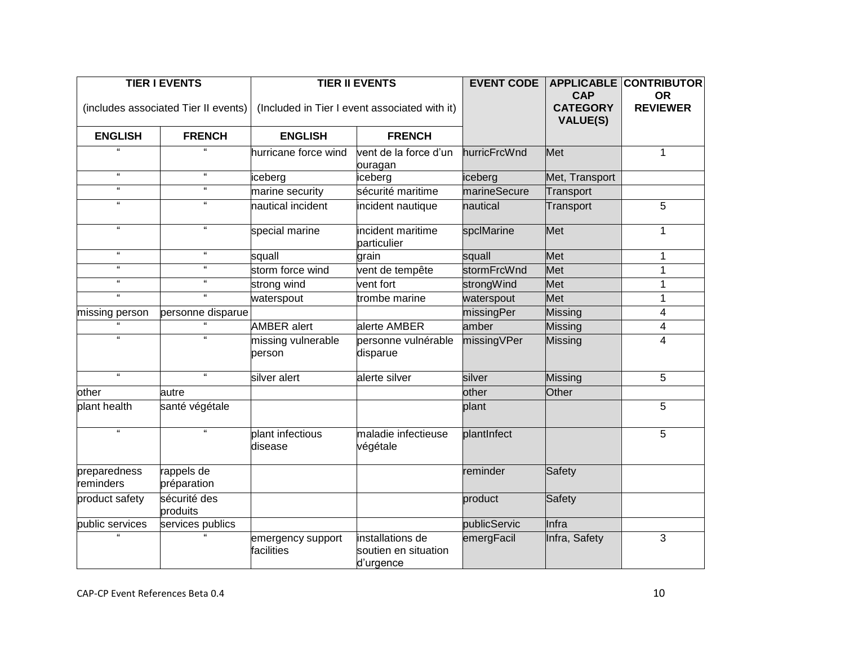| <b>TIER I EVENTS</b>        |                                      | <b>TIER II EVENTS</b>                         |                                                       | <b>EVENT CODE</b> | <b>CAP</b>                         | <b>APPLICABLE CONTRIBUTOR</b><br><b>OR</b> |
|-----------------------------|--------------------------------------|-----------------------------------------------|-------------------------------------------------------|-------------------|------------------------------------|--------------------------------------------|
|                             | (includes associated Tier II events) | (Included in Tier I event associated with it) |                                                       |                   | <b>CATEGORY</b><br><b>VALUE(S)</b> | <b>REVIEWER</b>                            |
| <b>ENGLISH</b>              | <b>FRENCH</b>                        | <b>ENGLISH</b>                                | <b>FRENCH</b>                                         |                   |                                    |                                            |
|                             |                                      | hurricane force wind                          | vent de la force d'un<br>ouragan                      | hurricFrcWnd      | Met                                | $\mathbf 1$                                |
| $\epsilon\epsilon$          | $\epsilon$                           | iceberg                                       | iceberg                                               | iceberg           | Met, Transport                     |                                            |
| $\mathfrak{c}\mathfrak{c}$  | $\epsilon\epsilon$                   | marine security                               | sécurité maritime                                     | marineSecure      | Transport                          |                                            |
| $\alpha$                    | $\pmb{\mathfrak{c}}$                 | nautical incident                             | incident nautique                                     | nautical          | Transport                          | 5                                          |
| $\epsilon\epsilon$          | $\epsilon\epsilon$                   | special marine                                | incident maritime<br>particulier                      | spclMarine        | Met                                | $\mathbf 1$                                |
| $\epsilon\epsilon$          | $\mathfrak{c}\mathfrak{c}$           | squall                                        | grain                                                 | squall            | Met                                | 1                                          |
| $\epsilon\epsilon$          | $\epsilon$                           | storm force wind                              | vent de tempête                                       | stormFrcWnd       | Met                                | 1                                          |
| $\epsilon\epsilon$          | $\mathfrak{c}\mathfrak{c}$           | strong wind                                   | vent fort                                             | strongWind        | Met                                | $\mathbf{1}$                               |
| $\boldsymbol{\mathfrak{a}}$ | $\mathbf{u}$                         | waterspout                                    | trombe marine                                         | waterspout        | Met                                | 1                                          |
| missing person              | personne disparue                    |                                               |                                                       | missingPer        | Missing                            | 4                                          |
| $\overline{u}$              | $\overline{u}$                       | <b>AMBER</b> alert                            | alerte AMBER                                          | amber             | Missing                            | 4                                          |
| $\mathbf{g}$                | $\mathbf{g}$                         | missing vulnerable<br>person                  | personne vulnérable<br>disparue                       | missingVPer       | Missing                            | 4                                          |
| $\mathbf{a}$                | $\mathbf{a}$                         | silver alert                                  | alerte silver                                         | silver            | Missing                            | 5                                          |
| other                       | autre                                |                                               |                                                       | other             | Other                              |                                            |
| plant health                | santé végétale                       |                                               |                                                       | plant             |                                    | 5                                          |
| $\alpha$                    | $\alpha$                             | plant infectious<br>disease                   | maladie infectieuse<br>végétale                       | plantInfect       |                                    | 5                                          |
| preparedness<br>reminders   | rappels de<br>préparation            |                                               |                                                       | reminder          | Safety                             |                                            |
| product safety              | sécurité des<br>produits             |                                               |                                                       | product           | Safety                             |                                            |
| public services             | services publics                     |                                               |                                                       | publicServic      | Infra                              |                                            |
|                             |                                      | emergency support<br>facilities               | installations de<br>soutien en situation<br>d'urgence | emergFacil        | Infra, Safety                      | 3                                          |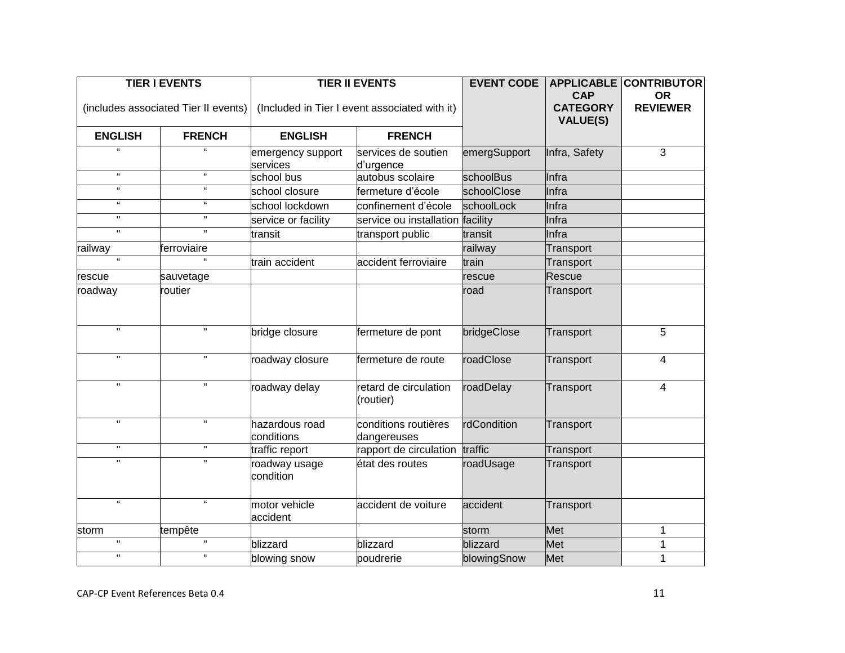| <b>TIER I EVENTS</b>                 |                            | <b>TIER II EVENTS</b>                         |                                     | <b>EVENT CODE</b> | <b>CAP</b>                         | <b>APPLICABLE CONTRIBUTOR</b><br><b>OR</b> |
|--------------------------------------|----------------------------|-----------------------------------------------|-------------------------------------|-------------------|------------------------------------|--------------------------------------------|
| (includes associated Tier II events) |                            | (Included in Tier I event associated with it) |                                     |                   | <b>CATEGORY</b><br><b>VALUE(S)</b> | <b>REVIEWER</b>                            |
| <b>ENGLISH</b>                       | <b>FRENCH</b>              | <b>ENGLISH</b>                                | <b>FRENCH</b>                       |                   |                                    |                                            |
|                                      |                            | emergency support<br>services                 | services de soutien<br>d'urgence    | emergSupport      | Infra, Safety                      | $\overline{3}$                             |
| $\mathbf{g}$                         | $\mathbf{g}$               | school bus                                    | autobus scolaire                    | schoolBus         | Infra                              |                                            |
| $\mathbf{g}$                         | $\mathbf{g}$               | school closure                                | fermeture d'école                   | schoolClose       | Infra                              |                                            |
| $\alpha$                             | $\pmb{\mathfrak{c}}$       | school lockdown                               | confinement d'école                 | schoolLock        | Infra                              |                                            |
| $\mathbf H$                          | $\mathbf H$                | service or facility                           | service ou installation facility    |                   | Infra                              |                                            |
| $\overline{\mathbf{u}}$              | π                          | transit                                       | transport public                    | transit           | Infra                              |                                            |
| railway                              | ferroviaire                |                                               |                                     | railway           | Transport                          |                                            |
| $\mathbf{g}$                         | $\mathfrak{g}$             | train accident                                | accident ferroviaire                | train             | Transport                          |                                            |
| rescue                               | sauvetage                  |                                               |                                     | rescue            | Rescue                             |                                            |
| roadway                              | routier                    |                                               |                                     | road              | Transport                          |                                            |
| $\mathbf{H}$                         | $\mathbf{H}$               | bridge closure                                | fermeture de pont                   | bridgeClose       | Transport                          | 5                                          |
| $\mathbf{H}$                         | $\mathbf{H}$               | roadway closure                               | fermeture de route                  | roadClose         | Transport                          | $\overline{4}$                             |
| $\mathbf H$                          | $\mathbf{H}$               | roadway delay                                 | retard de circulation<br>(routier)  | roadDelay         | Transport                          | $\overline{4}$                             |
| $\mathbf{u}$                         | $\mathbf{H}$               | hazardous road<br>conditions                  | conditions routières<br>dangereuses | rdCondition       | Transport                          |                                            |
| $\mathbf H$                          | $\mathbf H$                | traffic report                                | rapport de circulation traffic      |                   | Transport                          |                                            |
|                                      |                            | roadway usage<br>condition                    | état des routes                     | roadUsage         | Transport                          |                                            |
| $\mathfrak{c}\mathfrak{c}$           | $\mathbf{G}$               | motor vehicle<br>accident                     | accident de voiture                 | accident          | Transport                          |                                            |
| storm                                | tempête                    |                                               |                                     | storm             | <b>Met</b>                         | 1                                          |
| $\pmb{\mathsf{H}}$                   | $\mathbf{H}$               | blizzard                                      | blizzard                            | blizzard          | Met                                | 1                                          |
| $\pmb{\mathsf{H}}$                   | $\mathfrak{c}\mathfrak{c}$ | blowing snow                                  | poudrerie                           | blowingSnow       | Met                                | 1                                          |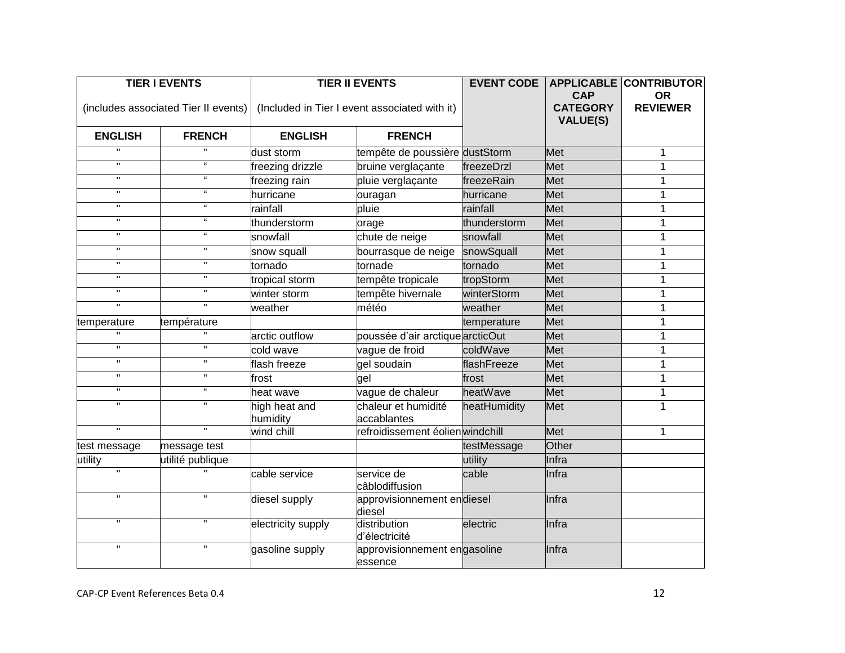| <b>TIER I EVENTS</b>    |                                      | <b>TIER II EVENTS</b>     |                                               |              | <b>CAP</b>                         | <b>EVENT CODE   APPLICABLE CONTRIBUTOR</b><br><b>OR</b> |
|-------------------------|--------------------------------------|---------------------------|-----------------------------------------------|--------------|------------------------------------|---------------------------------------------------------|
|                         | (includes associated Tier II events) |                           | (Included in Tier I event associated with it) |              | <b>CATEGORY</b><br><b>VALUE(S)</b> | <b>REVIEWER</b>                                         |
| <b>ENGLISH</b>          | <b>FRENCH</b>                        | <b>ENGLISH</b>            | <b>FRENCH</b>                                 |              |                                    |                                                         |
|                         | H.                                   | dust storm                | tempête de poussière dustStorm                |              | Met                                | 1                                                       |
| $\mathbf{H}$            | $\alpha$                             | freezing drizzle          | bruine verglaçante                            | freezeDrzl   | Met                                | 1                                                       |
| $\mathbf H$             | $\mathbf{a}$                         | freezing rain             | pluie verglaçante                             | freezeRain   | Met                                | 1                                                       |
| $\mathbf H$             | $\epsilon\epsilon$                   | hurricane                 | ouragan                                       | hurricane    | Met                                | 1                                                       |
| $\mathbf H$             | $\epsilon$                           | rainfall                  | pluie                                         | rainfall     | Met                                | 1                                                       |
| $\mathbf H$             | $\mathbf{u}$                         | thunderstorm              | orage                                         | thunderstorm | <b>Met</b>                         | 1                                                       |
| $\mathbf H$             | $\epsilon$                           | snowfall                  | chute de neige                                | snowfall     | <b>Met</b>                         | $\mathbf 1$                                             |
| $\mathbf H$             | п.                                   | snow squall               | bourrasque de neige                           | snowSquall   | Met                                | 1                                                       |
| $\mathbf H$             | н                                    | tornado                   | tornade                                       | tornado      | Met                                | 1                                                       |
| $\mathbf H$             | π.                                   | tropical storm            | tempête tropicale                             | tropStorm    | Met                                | 1                                                       |
| $\mathbf H$             | π.                                   | winter storm              | tempête hivernale                             | winterStorm  | Met                                | 1                                                       |
| $\mathbf H$             | $\mathbf{H}$                         | weather                   | météo                                         | weather      | Met                                | 1                                                       |
| temperature             | température                          |                           |                                               | temperature  | Met                                | 1                                                       |
|                         |                                      | arctic outflow            | poussée d'air arctique arcticOut              |              | <b>Met</b>                         | 1                                                       |
| $\overline{\mathbf{u}}$ | π                                    | cold wave                 | vague de froid                                | coldWave     | Met                                | 1                                                       |
| $\mathbf H$             | $\mathbf H$                          | flash freeze              | gel soudain                                   | flashFreeze  | Met                                | 1                                                       |
| $\mathbf H$             | π.                                   | frost                     | gel                                           | frost        | Met                                | 1                                                       |
| $\mathbf H$             | $\epsilon$                           | heat wave                 | vague de chaleur                              | heatWave     | Met                                | 1                                                       |
| $\mathbf H$             | H.                                   | high heat and<br>humidity | chaleur et humidité<br>accablantes            | heatHumidity | Met                                | 1                                                       |
| $\overline{\mathbf{u}}$ | π                                    | wind chill                | refroidissement éolienwindchill               |              | Met                                | 1                                                       |
| test message            | message test                         |                           |                                               | testMessage  | Other                              |                                                         |
| utility                 | utilité publique                     |                           |                                               | utility      | Infra                              |                                                         |
| $\overline{\mathbf{u}}$ |                                      | cable service             | service de<br>câblodiffusion                  | cable        | Infra                              |                                                         |
| $\mathbf H$             | п.                                   | diesel supply             | approvisionnement endiesel<br>diesel          |              | Infra                              |                                                         |
| $\mathbf{u}$            | $\mathbf H$                          | electricity supply        | distribution<br>d'électricité                 | electric     | Infra                              |                                                         |
| $\overline{\mathbf{u}}$ | п.                                   | gasoline supply           | approvisionnement engasoline<br>essence       |              | Infra                              |                                                         |